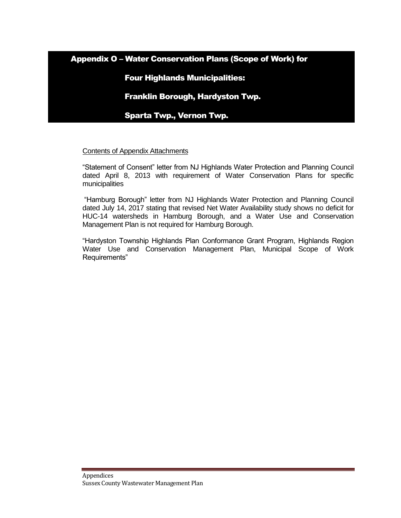Appendix O – Water Conservation Plans (Scope of Work) for

# Four Highlands Municipalities:

Franklin Borough, Hardyston Twp.

Sparta Twp., Vernon Twp.

# Contents of Appendix Attachments

"Statement of Consent" letter from NJ Highlands Water Protection and Planning Council dated April 8, 2013 with requirement of Water Conservation Plans for specific municipalities

"Hamburg Borough" letter from NJ Highlands Water Protection and Planning Council dated July 14, 2017 stating that revised Net Water Availability study shows no deficit for HUC-14 watersheds in Hamburg Borough, and a Water Use and Conservation Management Plan is not required for Hamburg Borough.

"Hardyston Township Highlands Plan Conformance Grant Program, Highlands Region Water Use and Conservation Management Plan, Municipal Scope of Work Requirements"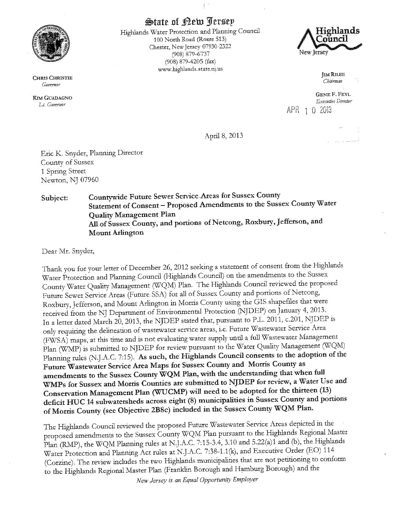

**CHRIS CHRISTIE** Governor

**KIM GUADAGNO** Lt. Governor

**State of Rew Jersey** 

 $\dot{\mathbf{f}}$ 

Highlands Water Protection and Planning Council 100 North Road (Route 513) Chester, New Jersey 07930-2322 (908) 879-6737 (908) 879-4205 (fax) www.highlands.state.nj.us



**IM RILEE** Chairman **GENE F. FEYL** Executive Director APR 1 0 2013

April 8, 2013

Eric K. Snyder, Planning Director County of Sussex 1 Spring Street Newton, NJ 07960

Countywide Future Sewer Service Areas for Sussex County Subject: Statement of Consent - Proposed Amendments to the Sussex County Water **Quality Management Plan** All of Sussex County, and portions of Netcong, Roxbury, Jefferson, and **Mount Arlington** 

Dear Mr. Snyder,

Thank you for your letter of December 26, 2012 seeking a statement of consent from the Highlands Water Protection and Planning Council (Highlands Council) on the amendments to the Sussex County Water Quality Management (WQM) Plan. The Highlands Council reviewed the proposed Future Sewer Service Areas (Future SSA) for all of Sussex County and portions of Netcong, Roxbury, Jefferson, and Mount Arlington in Morris County using the GIS shapefiles that were received from the NJ Department of Environmental Protection (NJDEP) on January 4, 2013. In a letter dated March 20, 2013, the NJDEP stated that, pursuant to P.L. 2011, c.201, NJDEP is only requiring the delineation of wastewater service areas, i.e. Future Wastewater Service Area (FWSA) maps, at this time and is not evaluating water supply until a full Wastewater Management Plan (WMP) is submitted to NJDEP for review pursuant to the Water Quality Management (WQM) Planning rules (N.J.A.C. 7:15). As such, the Highlands Council consents to the adoption of the Future Wastewater Service Area Maps for Sussex County and Morris County as amendments to the Sussex County WQM Plan, with the understanding that when full WMPs for Sussex and Morris Counties are submitted to NJDEP for review, a Water Use and Conservation Management Plan (WUCMP) will need to be adopted for the thirteen (13) deficit HUC 14 subwatersheds across eight (8) municipalities in Sussex County and portions of Morris County (see Objective 2B8c) included in the Sussex County WQM Plan.

The Highlands Council reviewed the proposed Future Wastewater Service Areas depicted in the proposed amendments to the Sussex County WQM Plan pursuant to the Highlands Regional Master Plan (RMP), the WQM Planning rules at N.J.A.C. 7:15-3.4, 3.10 and 5.22(a)1 and (b), the Highlands Water Protection and Planning Act rules at N.J.A.C. 7:38-1.1(k), and Executive Order (EO) 114 (Corzine). The review includes the two Highlands municipalities that are not petitioning to conform to the Highlands Regional Master Plan (Franklin Borough and Hamburg Borough) and the

New Jersey is an Equal Opportunity Employer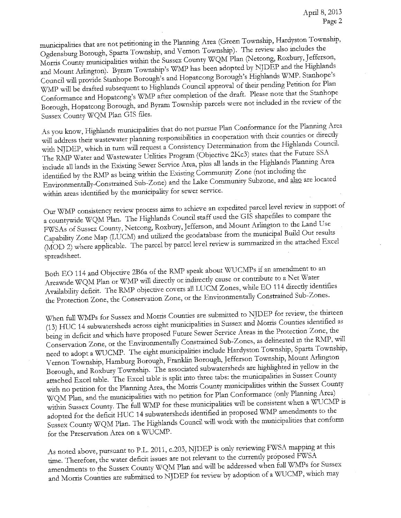municipalities that are not petitioning in the Planning Area (Green Township, Hardyston Township, Ogdensburg Borough, Sparta Township, and Vernon Township). The review also includes the Morris County municipalities within the Sussex County WQM Plan (Netcong, Roxbury, Jefferson, and Mount Arlington). Byram Township's WMP has been adopted by NJDEP and the Highlands Council will provide Stanhope Borough's and Hopatcong Borough's Highlands WMP. Stanhope's WMP will be drafted subsequent to Highlands Council approval of their pending Petition for Plan Conformance and Hopatcong's WMP after completion of the draft. Please note that the Stanhope Borough, Hopatcong Borough, and Byram Township parcels were not included in the review of the Sussex County WQM Plan GIS files.

As you know, Highlands municipalities that do not pursue Plan Conformance for the Planning Area will address their wastewater planning responsibilities in cooperation with their counties or directly with NJDEP, which in turn will request a Consistency Determination from the Highlands Council. The RMP Water and Wastewater Utilities Program (Objective 2Kc3) states that the Future SSA include all lands in the Existing Sewer Service Area, plus all lands in the Highlands Planning Area identified by the RMP as being within the Existing Community Zone (not including the Environmentally-Constrained Sub-Zone) and the Lake Community Subzone, and also are located within areas identified by the municipality for sewer service.

Our WMP consistency review process aims to achieve an expedited parcel level review in support of a countywide WQM Plan. The Highlands Council staff used the GIS shapefiles to compare the FWSAs of Sussex County, Netcong, Roxbury, Jefferson, and Mount Arlington to the Land Use Capability Zone Map (LUCM) and utilized the geodatabase from the municipal Build Out results (MOD 2) where applicable. The parcel by parcel level review is summarized in the attached Excel spreadsheet.

Both EO 114 and Objective 2B6a of the RMP speak about WUCMPs if an amendment to an Areawide WQM Plan or WMP will directly or indirectly cause or contribute to a Net Water Availability deficit. The RMP objective covers all LUCM Zones, while EO 114 directly identifies the Protection Zone, the Conservation Zone, or the Environmentally Constrained Sub-Zones.

When full WMPs for Sussex and Morris Counties are submitted to NJDEP for review, the thirteen (13) HUC 14 subwatersheds across eight municipalities in Sussex and Morris Counties identified as being in deficit and which have proposed Future Sewer Service Areas in the Protection Zone, the Conservation Zone, or the Environmentally Constrained Sub-Zones, as delineated in the RMP, will need to adopt a WUCMP. The eight municipalities include Hardyston Township, Sparta Township, Vernon Township, Hamburg Borough, Franklin Borough, Jefferson Township, Mount Arlington Borough, and Roxbury Township. The associated subwatersheds are highlighted in yellow in the attached Excel table. The Excel table is split into three tabs: the municipalities in Sussex County with no petition for the Planning Area, the Morris County municipalities within the Sussex County WQM Plan, and the municipalities with no petition for Plan Conformance (only Planning Area) within Sussex County. The full WMP for these municipalities will be consistent when a WUCMP is adopted for the deficit HUC 14 subwatersheds identified in proposed WMP amendments to the Sussex County WQM Plan. The Highlands Council will work with the municipalities that conform for the Preservation Area on a WUCMP.

As noted above, pursuant to P.L. 2011, c.203, NJDEP is only reviewing FWSA mapping at this time. Therefore, the water deficit issues are not relevant to the currently proposed FWSA amendments to the Sussex County WQM Plan and will be addressed when full WMPs for Sussex and Morris Counties are submitted to NJDEP for review by adoption of a WUCMP, which may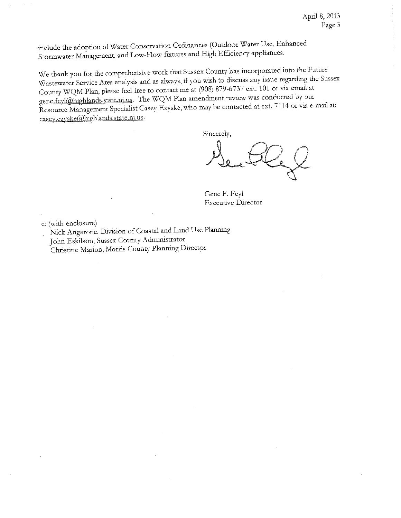include the adoption of Water Conservation Ordinances (Outdoor Water Use, Enhanced Stormwater Management, and Low-Flow fixtures and High Efficiency appliances.

We thank you for the comprehensive work that Sussex County has incorporated into the Future Wastewater Service Area analysis and as always, if you wish to discuss any issue regarding the Sussex County WQM Plan, please feel free to contact me at (908) 879-6737 ext. 101 or via email at gene.feyl@highlands.state.nj.us. The WQM Plan amendment review was conducted by our Resource Management Specialist Casey Ezyske, who may be contacted at ext. 7114 or via e-mail at: casev.ezvske@highlands.state.nj.us.

Sincerely,

Gene F. Feyl **Executive Director** 

c: (with enclosure)

Nick Angarone, Division of Coastal and Land Use Planning John Eskilson, Sussex County Administrator Christine Marion, Morris County Planning Director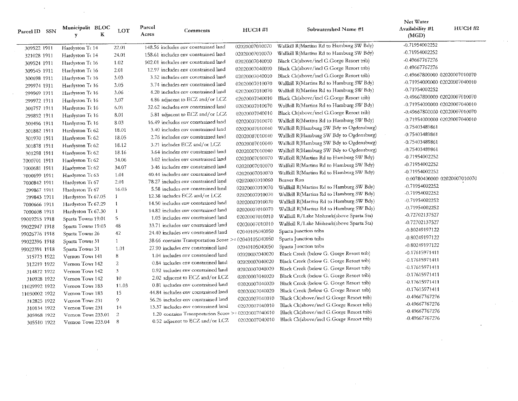| Parcel ID SSN                | Municipalit BLOC<br>К<br>Y         | LOT            | Parcel<br>Comments<br>Acres                           | <b>HUC14#1</b> | Subwatershed Name #1                     | Net Water<br>Availability #1<br>(MGD) | <b>HUC14 #2</b> |
|------------------------------|------------------------------------|----------------|-------------------------------------------------------|----------------|------------------------------------------|---------------------------------------|-----------------|
| 309522 1911                  | Hardyston To 14                    | 22.01          | 148.56 includes env constrained land                  | 02020007010070 | Wallkill R(Martins Rd to Hamburg SW Bdy) | -0.71954002252                        |                 |
| 321028 1911                  | Hardyston Tc 14                    | 24.01          | 158.61 includes env constrained land                  | 02020007010070 | Wallkill R(Martins Rd to Hamburg SW Bdy) | -0.71954002252                        |                 |
| 309524 1911                  | Hardyston Tc 16                    | 1.02           | 102.01 includes env constrained land                  | 02020007040010 | Black Ck(above/incl G.Gorge Resort trib) | -0.49667767276                        |                 |
| 309545 1911                  | Hardyston Tc 16                    | 2.01           | 12.97 includes env constrained land                   | 02020007040010 | Black Ck(above/incl G.Gorge Resort trib) | -0.49667767276                        |                 |
| 300698 1911                  | Hardyston Tc 16                    | 3.03           | 3.52 includes env constrained land                    | 02020007040010 | Black Ck(above/incl G.Gorge Resort trib) | -0.49667800000 02020007010070         |                 |
| 299974 1911                  | Hardyston Tt 16                    | 3.05           | 3.74 includes env constrained land                    | 02020007010070 | Wallkill R(Martins Rd to Hamburg SW Bdy) | -0.71954000000 02020007040010         |                 |
| 299969 1911                  | Hardyston Tr 16                    | 3.06           | 4.20 includes eav constrained land                    | 02020007010070 | Wallkill R(Martins Rd to Hamburg SW Bdy) | -0.71954002252                        |                 |
| 299972 1911                  | Hardyston Te 16                    | 3.07           | 4.86 adjacent to ECZ and/or LCZ                       | 02020007040010 | Black Ck(above/incl G.Gorge Resort trib) | -0.49667800000 02020007010070         |                 |
| 300757 1911                  | Hardyston Te 16                    | 6.01           | 32.62 includes env constrained land                   | 02020007010070 | Wallkill R(Martins Rd to Hamburg SW Bdy) | -0.71954000000 02020007040010         |                 |
| 299892 1911                  | Hardyston Te 16                    | 8.01           | 5.81 adjacent to ECZ and/or LCZ                       | 02020007040010 | Black Ck(above/incl G.Gorge Resort trib) | -0.49667800000 02020007010070         |                 |
|                              | Hardyston Tc 16                    | 8.03           | 16.49 includes env constrained land                   | 02020007010070 | Wallkill R(Martins Rd to Hamburg SW Bdy) | -0.71954000000 02020007040010         |                 |
| 300496 1911                  |                                    | 18.01          | 3.40 includes env constrained land                    | 02020007010040 | Wallkill R(Hamburg SW Bdy to Ogdensburg) | -0.75403489861                        |                 |
| 301882 1911                  | Hardyston Tt 62<br>Hardyston Tr 62 | 18.05          | 2.76 includes env constrained land                    | 02020007010040 | Wallkill R(Hamburg SW Bdy to Ogdensburg) | -0.75403489861                        |                 |
| 301970 1911                  | Hardyston To 62                    | 18.12          | 3.21 includes ECZ and/or LCZ                          | 02020007010040 | Wallkill R(Hamburg SW Bdy to Ogdensburg) | -0.75403489861                        |                 |
| 301878 1911                  | Hardyston Tc 62                    | 18.16          | 3.64 includes env constrained land                    | 02020007010040 | Wallkill R(Hamburg SW Bdy to Ogdensburg) | -0.75403489861                        |                 |
| 301298 1911                  | Hardyston Tr 62                    | 34.06          | 3.02 includes env constrained land                    | 02020007010070 | Wallkill R(Martins Rd to Hamburg SW Bdy) | -0.71954002252                        |                 |
| 7000701 1911                 | Hardyston To 62                    | 34.07          | 3.46 includes env constrained land                    | 02020007010070 | Wallkill R(Martins Rd to Hamburg SW Bdy) | -0.71954002252                        |                 |
| 7000681 1911                 | Hardyston Tc 63                    | 1.01           | 40.44 includes env constrained land                   | 02020007010070 | Wallkill R(Martins Rd to Hamburg SW Bdy) | -0.71954002252                        |                 |
| 7000699 1911<br>7000842 1911 | Hardyston Tc 67                    | 2.01           | 78.27 includes env constrained land                   | 02020007010060 | Beaver Run                               | 0.00780400000 02020007010070          |                 |
| 299867 1911                  | Hardyston Tr 67                    | 16.03          | 5.58 includes env constrained land                    | 02020007010070 | Wallkill R(Martins Rd to Hamburg SW Bdy) | -0.71954002252                        |                 |
| 299843 1911                  | Hardyston Tt 67.05                 | -1             | 12.38 includes ECZ and/or LCZ                         | 02020007010070 | Wallkill R(Martins Rd to Hamburg SW Bdy) | -0.71954002252                        |                 |
| 7000666 1911                 | Hardyston Tc 67.29                 | $\mathbf{1}$   | 14.50 includes env constrained land                   | 02020007010070 | Wallkill R(Martins Rd to Hamburg SW Bdy) | -0.71954002252                        |                 |
| 7000608 1911                 | Hardyston Tt 67.30                 | -1             | 14.82 includes env constrained land                   | 02020007010070 | Wallkill R(Martins Rd to Hamburg SW Bdy) | -0.71954002252                        |                 |
| 99019215 1918                | Sparta Towns 19.01                 | 5              | 1.05 includes env constrained land                    | 02020007010010 | Wallkill R/Lake Mohawk(above Sparta Sta) | -0.72702137527                        |                 |
| 99022947 1918                | Sparta Towns 19.03                 | 48             | 33.71 includes env constrained land                   | 02020007010010 | Wallkill R/Lake Mohawk(above Sparta Sta) | -0.72702137527                        |                 |
| 99026776 1918                | Sparta Towns 26                    | 42             | 24.40 includes env constrained land                   | 02040105040050 | Sparta Junction tribs                    | -0.80249197122                        |                 |
| 99022396 1918                | Sparta Towns 31                    | $\mathbf{1}$   | 38.66 contains Transportation Score >= 02040105040050 |                | Sparta Junction tribs                    | -0.80249197122                        |                 |
| 99022391 1918                | Sparta Towns 31                    | 1.01           | 27.90 includes env constrained land                   | 02040105040050 | Sparta Junction tribs                    | -0.80249197122                        |                 |
| 315773 1922                  | Vernon Towi 141                    | 8              | 1.04 includes cav constrained land                    | 02020007040020 | Black Creek (below G. Gorge Resort trib) | -0.17615971411                        |                 |
| 312219 1922                  | Vernon Towr 142                    | $\overline{2}$ | 0.84 includes env constrained land                    | 02020007040020 | Black Creek (below G. Gorge Resort trib) | -0.17615971411                        |                 |
| 314872 1922                  | Vernon Towr 142                    | 3              | 0.92 includes env constrained land                    | 02020007040020 | Black Creek (below G. Gorge Resort trib) | -0.17615971411                        |                 |
| 310928 1922                  | Vernon Towr 142                    | 10             | 2.02 adjacent to ECZ and/or LCZ                       | 02020007040020 | Black Creek (below G. Gorge Resort trib) | $-0.17615971411$                      |                 |
| 11029992 1922                | Vernon Towi 183                    | 11.03          | 0.81 includes env constrained land                    | 02020007040020 | Black Creek (below G. Gorge Resort trib) | -0.17615971411                        |                 |
| 11030002 1922                | Vernon Towr 183                    | 15             | 44.84 includes env constrained land                   | 02020007040020 | Black Creek (below G. Gorge Resort trib) | -0.17615971411                        |                 |
| 312825 1922                  | Vemon Towr 231                     | 9              | 56.26 includes env constrained land                   | 02020007040010 | Black Ck(above/incl G.Gorge Resort trib) | -0.49667767276                        |                 |
| 310134 1922                  | Vernon Towr 231                    | 14             | 13.37 includes env constrained land                   | 02020007040010 | Black Ck(above/incl G.Gorge Resort trib) | -0.49667767276                        |                 |
| 305968 1922                  | Vernon Towr 233.01                 | $\mathbf{2}$   | 1.20 contains Transportation Score >= 02020007040010  |                | Black Ck(above/incl G.Gorge Resort trib) | -0.49667767276                        |                 |
| 305510 1922                  | Vernon Towr 233.04                 | -8             | 0.52 adjacent to ECZ and/or LCZ                       | 02020007040010 | Black Ck(above/incl G.Gorge Resort trib) | -0.49667767276                        |                 |

 $\sim 0.1$ 

 $\sim 10^7$ 

 $\sim$ 

 $\sim$ 

 $\sim$ 

 $\sim 10$ 

 $\sim$   $\alpha$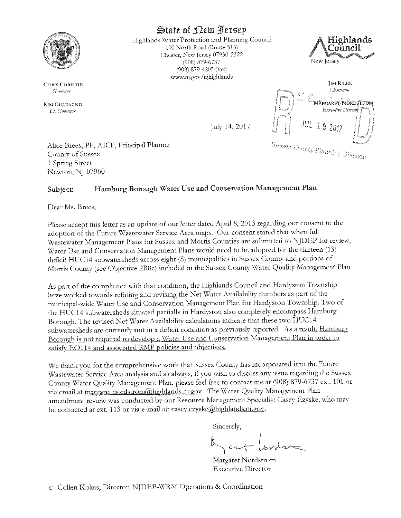

**CHRIS CHRISTIE** Governor

**KIM GUADAGNO** Lt. Governor

State of Rew Jersey

Highlands Water Protection and Planning Council 100 North Road (Route 513) Chester, New Jersey 07930-2322 (908) 879-6737 (908) 879-4205 (fax) www.nj.gov/njhighlands





Alice Brees, PP, AICP, Principal Planner County of Sussex 1 Spring Street Newton, NJ 07960

#### Hamburg Borough Water Use and Conservation Management Plan Subject:

Dear Ms. Brees.

Please accept this letter as an update of our letter dated April 8, 2013 regarding our consent to the adoption of the Future Wastewater Service Area maps. Our consent stated that when full Wastewater Management Plans for Sussex and Morris Counties are submitted to NJDEP for review, Water Use and Conservation Management Plans would need to be adopted for the thirteen (13) deficit HUC14 subwatersheds across eight (8) municipalities in Sussex County and portions of Morris County (see Objective 2B8c) included in the Sussex County Water Quality Management Plan.

As part of the compliance with that condition, the Highlands Council and Hardyston Township have worked towards refining and revising the Net Water Availability numbers as part of the municipal-wide Water Use and Conservation Management Plan for Hardyston Township. Two of the HUC14 subwatersheds situated partially in Hardyston also completely encompass Hamburg Borough. The revised Net Water Availability calculations indicate that these two HUC14 subwatersheds are currently not in a deficit condition as previously reported. As a result, Hamburg Borough is not required to develop a Water Use and Conservation Management Plan in order to satisfy EO114 and associated RMP policies and objectives.

We thank you for the comprehensive work that Sussex County has incorporated into the Future Wastewater Service Area analysis and as always, if you wish to discuss any issue regarding the Sussex County Water Quality Management Plan, please feel free to contact me at (908) 879-6737 ext. 101 or via email at margaret.nordstrom@highlands.nj.gov. The Water Quality Management Plan amendment review was conducted by our Resource Management Specialist Casey Ezyske, who may be contacted at ext. 113 or via e-mail at: casey.ezyske@highlands.ni.gov.

Sincerely,

Margaret Nordstrom **Executive Director**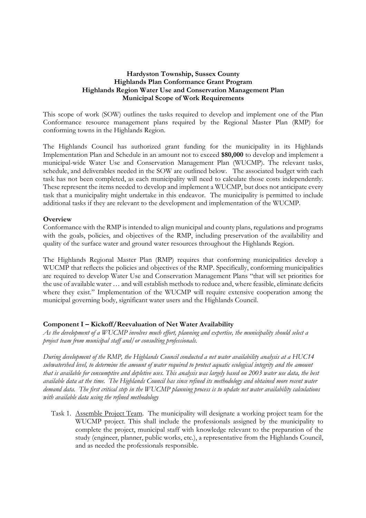### **Hardyston Township, Sussex County** Highlands Plan Conformance Grant Program Highlands Region Water Use and Conservation Management Plan **Municipal Scope of Work Requirements**

This scope of work (SOW) outlines the tasks required to develop and implement one of the Plan Conformance resource management plans required by the Regional Master Plan (RMP) for conforming towns in the Highlands Region.

The Highlands Council has authorized grant funding for the municipality in its Highlands Implementation Plan and Schedule in an amount not to exceed \$80,000 to develop and implement a municipal-wide Water Use and Conservation Management Plan (WUCMP). The relevant tasks, schedule, and deliverables needed in the SOW are outlined below. The associated budget with each task has not been completed, as each municipality will need to calculate those costs independently. These represent the items needed to develop and implement a WUCMP, but does not anticipate every task that a municipality might undertake in this endeavor. The municipality is permitted to include additional tasks if they are relevant to the development and implementation of the WUCMP.

### Overview

Conformance with the RMP is intended to align municipal and county plans, regulations and programs with the goals, policies, and objectives of the RMP, including preservation of the availability and quality of the surface water and ground water resources throughout the Highlands Region.

The Highlands Regional Master Plan (RMP) requires that conforming municipalities develop a WUCMP that reflects the policies and objectives of the RMP. Specifically, conforming municipalities are required to develop Water Use and Conservation Management Plans "that will set priorities for the use of available water ... and will establish methods to reduce and, where feasible, eliminate deficits where they exist." Implementation of the WUCMP will require extensive cooperation among the municipal governing body, significant water users and the Highlands Council.

# Component I - Kickoff/Reevaluation of Net Water Availability

As the development of a WUCMP involves much effort, planning and expertise, the municipality should select a project team from municipal staff and/or consulting professionals.

During development of the RMP, the Highlands Council conducted a net water availability analysis at a HUC14 subwatershed level, to determine the amount of water required to protect aquatic ecological integrity and the amount that is available for consumptive and depletive uses. This analysis was largely based on 2003 water use data, the best available data at the time. The Highlands Council has since refined its methodology and obtained more recent water demand data. The first critical step in the WUCMP planning process is to update net water availability calculations with available data using the refined methodology

Task 1. Assemble Project Team. The municipality will designate a working project team for the WUCMP project. This shall include the professionals assigned by the municipality to complete the project, municipal staff with knowledge relevant to the preparation of the study (engineer, planner, public works, etc.), a representative from the Highlands Council, and as needed the professionals responsible.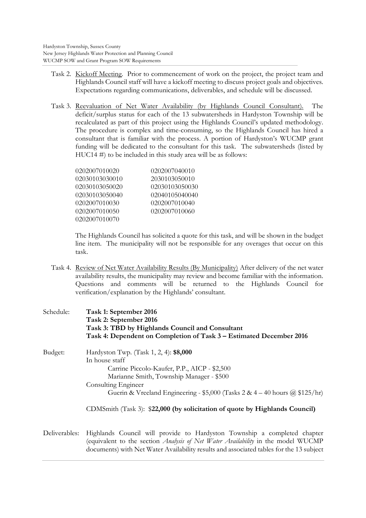- Task 2. Kickoff Meeting. Prior to commencement of work on the project, the project team and Highlands Council staff will have a kickoff meeting to discuss project goals and objectives. Expectations regarding communications, deliverables, and schedule will be discussed.
- Task 3. Reevaluation of Net Water Availability (by Highlands Council Consultant). The deficit/surplus status for each of the 13 subwatersheds in Hardyston Township will be recalculated as part of this project using the Highlands Council's updated methodology. The procedure is complex and time-consuming, so the Highlands Council has hired a consultant that is familiar with the process. A portion of Hardyston's WUCMP grant funding will be dedicated to the consultant for this task. The subwatersheds (listed by  $HUC14 \#$ ) to be included in this study area will be as follows:

| 0202007010020  | 0202007040010  |
|----------------|----------------|
| 02030103030010 | 2030103050010  |
| 02030103050020 | 02030103050030 |
| 02030103050040 | 02040105040040 |
| 0202007010030  | 0202007010040  |
| 0202007010050  | 0202007010060  |
| 0202007010070  |                |

The Highlands Council has solicited a quote for this task, and will be shown in the budget line item. The municipality will not be responsible for any overages that occur on this task.

Task 4. Review of Net Water Availability Results (By Municipality) After delivery of the net water availability results, the municipality may review and become familiar with the information. Questions and comments will be returned to the Highlands Council for verification/explanation by the Highlands' consultant.

| Schedule:     | Task 1: September 2016<br>Task 2: September 2016<br>Task 3: TBD by Highlands Council and Consultant<br>Task 4: Dependent on Completion of Task 3 - Estimated December 2016                                                                                                                                                                       |
|---------------|--------------------------------------------------------------------------------------------------------------------------------------------------------------------------------------------------------------------------------------------------------------------------------------------------------------------------------------------------|
| Budget:       | Hardyston Twp. (Task 1, 2, 4): \$8,000<br>In house staff<br>Carrine Piccolo-Kaufer, P.P., AICP - \$2,500<br>Marianne Smith, Township Manager - \$500<br>Consulting Engineer<br>Guerin & Vreeland Engineering - \$5,000 (Tasks 2 & 4 – 40 hours $\omega$ \$125/hr)<br>CDMSmith (Task 3): \$22,000 (by solicitation of quote by Highlands Council) |
| Deliverables: | Highlands Council will provide to Hardyston Township a completed chapter<br>(equivalent to the section <i>Analysis of Net Water Availability</i> in the model WUCMP<br>documents) with Net Water Availability results and associated tables for the 13 subject                                                                                   |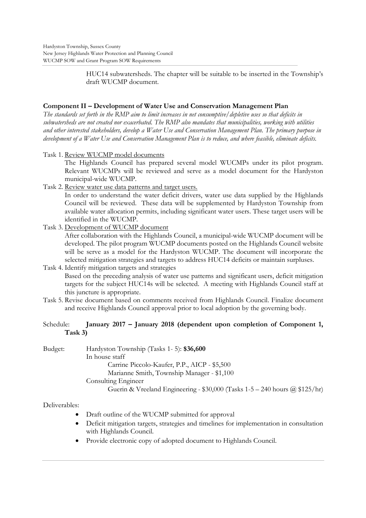HUC14 subwatersheds. The chapter will be suitable to be inserted in the Township's draft WUCMP document.

# Component II - Development of Water Use and Conservation Management Plan

The standards set forth in the RMP aim to limit increases in net consumptive/ depletive uses so that deficits in subwatersheds are not created nor exacerbated. The RMP also mandates that municipalities, working with utilities and other interested stakeholders, develop a Water Use and Conservation Management Plan. The primary purpose in development of a Water Use and Conservation Management Plan is to reduce, and where feasible, eliminate deficits,

Task 1. Review WUCMP model documents

The Highlands Council has prepared several model WUCMPs under its pilot program. Relevant WUCMPs will be reviewed and serve as a model document for the Hardyston municipal-wide WUCMP.

Task 2. Review water use data patterns and target users.

In order to understand the water deficit drivers, water use data supplied by the Highlands Council will be reviewed. These data will be supplemented by Hardyston Township from available water allocation permits, including significant water users. These target users will be identified in the WUCMP.

Task 3. Development of WUCMP document After collaboration with the Highlands Council, a municipal-wide WUCMP document will be developed. The pilot program WUCMP documents posted on the Highlands Council website will be serve as a model for the Hardyston WUCMP. The document will incorporate the selected mitigation strategies and targets to address HUC14 deficits or maintain surpluses.

# Task 4. Identify mitigation targets and strategies Based on the preceding analysis of water use patterns and significant users, deficit mitigation targets for the subject HUC14s will be selected. A meeting with Highlands Council staff at this juncture is appropriate.

Task 5. Revise document based on comments received from Highlands Council. Finalize document and receive Highlands Council approval prior to local adoption by the governing body.

#### January 2017 – January 2018 (dependent upon completion of Component 1, Schedule:  $Task 3)$

Budget: Hardyston Township (Tasks 1-5): \$36,600 In house staff Carrine Piccolo-Kaufer, P.P., AICP - \$5,500 Marianne Smith, Township Manager - \$1,100 Consulting Engineer Guerin & Vreeland Engineering -  $$30,000$  (Tasks 1-5 - 240 hours  $@$  \$125/hr)

# Deliverables:

- Draft outline of the WUCMP submitted for approval
- Deficit mitigation targets, strategies and timelines for implementation in consultation  $\bullet$ with Highlands Council.
- Provide electronic copy of adopted document to Highlands Council.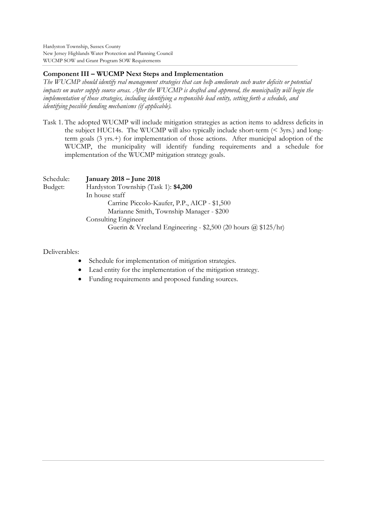Hardyston Township, Sussex County New Jersey Highlands Water Protection and Planning Council WUCMP SOW and Grant Program SOW Requirements

# **Component III – WUCMP Next Steps and Implementation**

*The WUCMP should identify real management strategies that can help ameliorate such water deficits or potential impacts on water supply source areas. After the WUCMP is drafted and approved, the municipality will begin the implementation of those strategies, including identifying a responsible lead entity, setting forth a schedule, and identifying possible funding mechanisms (if applicable).*

Task 1. The adopted WUCMP will include mitigation strategies as action items to address deficits in the subject HUC14s. The WUCMP will also typically include short-term  $( $3yrs$ ), and long$ term goals  $(3 \text{ yrs.})$  for implementation of those actions. After municipal adoption of the WUCMP, the municipality will identify funding requirements and a schedule for implementation of the WUCMP mitigation strategy goals.

| Schedule: | January 2018 – June 2018                                      |
|-----------|---------------------------------------------------------------|
| Budget:   | Hardyston Township (Task 1): \$4,200                          |
|           | In house staff                                                |
|           | Carrine Piccolo-Kaufer, P.P., AICP - \$1,500                  |
|           | Marianne Smith, Township Manager - \$200                      |
|           | Consulting Engineer                                           |
|           | Guerin & Vreeland Engineering - \$2,500 (20 hours @ \$125/hr) |

### Deliverables:

- Schedule for implementation of mitigation strategies.
- Lead entity for the implementation of the mitigation strategy.
- Funding requirements and proposed funding sources.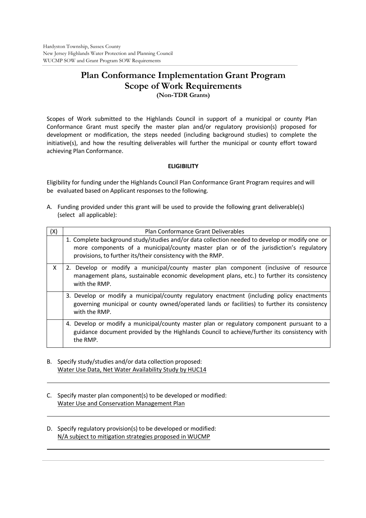# **Plan Conformance Implementation Grant Program Scope of Work Requirements (Non-TDR Grants)**

Scopes of Work submitted to the Highlands Council in support of a municipal or county Plan Conformance Grant must specify the master plan and/or regulatory provision(s) proposed for development or modification, the steps needed (including background studies) to complete the initiative(s), and how the resulting deliverables will further the municipal or county effort toward achieving Plan Conformance.

# **ELIGIBILITY**

Eligibility for funding under the Highlands Council Plan Conformance Grant Program requires and will be evaluated based on Applicant responses to the following.

A. Funding provided under this grant will be used to provide the following grant deliverable(s) (select all applicable):

| (X) | Plan Conformance Grant Deliverables                                                                                                                                                                                                                   |
|-----|-------------------------------------------------------------------------------------------------------------------------------------------------------------------------------------------------------------------------------------------------------|
|     | 1. Complete background study/studies and/or data collection needed to develop or modify one or<br>more components of a municipal/county master plan or of the jurisdiction's regulatory<br>provisions, to further its/their consistency with the RMP. |
| X   | 2. Develop or modify a municipal/county master plan component (inclusive of resource<br>management plans, sustainable economic development plans, etc.) to further its consistency<br>with the RMP.                                                   |
|     | 3. Develop or modify a municipal/county regulatory enactment (including policy enactments<br>governing municipal or county owned/operated lands or facilities) to further its consistency<br>with the RMP.                                            |
|     | 4. Develop or modify a municipal/county master plan or regulatory component pursuant to a<br>guidance document provided by the Highlands Council to achieve/further its consistency with<br>the RMP.                                                  |

- B. Specify study/studies and/or data collection proposed: Water Use Data, Net Water Availability Study by HUC14
- C. Specify master plan component(s) to be developed or modified: Water Use and Conservation Management Plan
- D. Specify regulatory provision(s) to be developed or modified: N/A subject to mitigation strategies proposed in WUCMP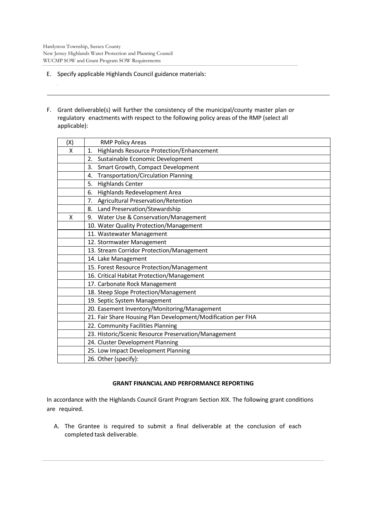$\mathcal{L}$ 

- E. Specify applicable Highlands Council guidance materials:
- F. Grant deliverable(s) will further the consistency of the municipal/county master plan or regulatory enactments with respect to the following policy areas of the RMP (select all applicable):

| (X) | <b>RMP Policy Areas</b>                                      |  |
|-----|--------------------------------------------------------------|--|
| X   | <b>Highlands Resource Protection/Enhancement</b><br>1.       |  |
|     | 2.<br>Sustainable Economic Development                       |  |
|     | Smart Growth, Compact Development<br>3.                      |  |
|     | <b>Transportation/Circulation Planning</b><br>4.             |  |
|     | <b>Highlands Center</b><br>5.                                |  |
|     | Highlands Redevelopment Area<br>6.                           |  |
|     | Agricultural Preservation/Retention<br>7.                    |  |
|     | Land Preservation/Stewardship<br>8.                          |  |
| X   | Water Use & Conservation/Management<br>9.                    |  |
|     | 10. Water Quality Protection/Management                      |  |
|     | 11. Wastewater Management                                    |  |
|     | 12. Stormwater Management                                    |  |
|     | 13. Stream Corridor Protection/Management                    |  |
|     | 14. Lake Management                                          |  |
|     | 15. Forest Resource Protection/Management                    |  |
|     | 16. Critical Habitat Protection/Management                   |  |
|     | 17. Carbonate Rock Management                                |  |
|     | 18. Steep Slope Protection/Management                        |  |
|     | 19. Septic System Management                                 |  |
|     | 20. Easement Inventory/Monitoring/Management                 |  |
|     | 21. Fair Share Housing Plan Development/Modification per FHA |  |
|     | 22. Community Facilities Planning                            |  |
|     | 23. Historic/Scenic Resource Preservation/Management         |  |
|     | 24. Cluster Development Planning                             |  |
|     | 25. Low Impact Development Planning                          |  |
|     | 26. Other (specify):                                         |  |

### **GRANT FINANCIAL AND PERFORMANCE REPORTING**

In accordance with the Highlands Council Grant Program Section XIX. The following grant conditions are required.

A. The Grantee is required to submit a final deliverable at the conclusion of each completed task deliverable.